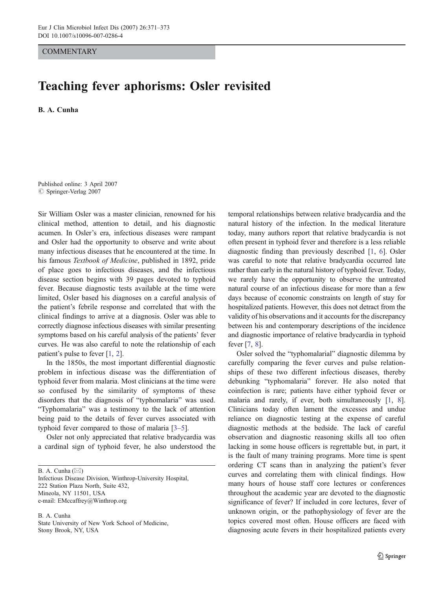**COMMENTARY** 

## Teaching fever aphorisms: Osler revisited

B. A. Cunha

Published online: 3 April 2007  $\oslash$  Springer-Verlag 2007

Sir William Osler was a master clinician, renowned for his clinical method, attention to detail, and his diagnostic acumen. In Osler's era, infectious diseases were rampant and Osler had the opportunity to observe and write about many infectious diseases that he encountered at the time. In his famous Textbook of Medicine, published in 1892, pride of place goes to infectious diseases, and the infectious disease section begins with 39 pages devoted to typhoid fever. Because diagnostic tests available at the time were limited, Osler based his diagnoses on a careful analysis of the patient's febrile response and correlated that with the clinical findings to arrive at a diagnosis. Osler was able to correctly diagnose infectious diseases with similar presenting symptoms based on his careful analysis of the patients' fever curves. He was also careful to note the relationship of each patient's pulse to fever [\[1](#page-1-0), [2\]](#page-1-0).

In the 1850s, the most important differential diagnostic problem in infectious disease was the differentiation of typhoid fever from malaria. Most clinicians at the time were so confused by the similarity of symptoms of these disorders that the diagnosis of "typhomalaria" was used. "Typhomalaria" was a testimony to the lack of attention being paid to the details of fever curves associated with typhoid fever compared to those of malaria [[3](#page-1-0)–[5\]](#page-2-0).

Osler not only appreciated that relative bradycardia was a cardinal sign of typhoid fever, he also understood the

B. A. Cunha  $(\boxtimes)$ 

Infectious Disease Division, Winthrop-University Hospital, 222 Station Plaza North, Suite 432, Mineola, NY 11501, USA e-mail: EMccaffrey@Winthrop.org

B. A. Cunha State University of New York School of Medicine, Stony Brook, NY, USA

temporal relationships between relative bradycardia and the natural history of the infection. In the medical literature today, many authors report that relative bradycardia is not often present in typhoid fever and therefore is a less reliable diagnostic finding than previously described [\[1](#page-1-0), [6\]](#page-2-0). Osler was careful to note that relative bradycardia occurred late rather than early in the natural history of typhoid fever. Today, we rarely have the opportunity to observe the untreated natural course of an infectious disease for more than a few days because of economic constraints on length of stay for hospitalized patients. However, this does not detract from the validity of his observations and it accounts for the discrepancy between his and contemporary descriptions of the incidence and diagnostic importance of relative bradycardia in typhoid fever [[7,](#page-2-0) [8](#page-2-0)].

Osler solved the "typhomalarial" diagnostic dilemma by carefully comparing the fever curves and pulse relationships of these two different infectious diseases, thereby debunking "typhomalaria" forever. He also noted that coinfection is rare; patients have either typhoid fever or malaria and rarely, if ever, both simultaneously [\[1](#page-1-0), [8\]](#page-2-0). Clinicians today often lament the excesses and undue reliance on diagnostic testing at the expense of careful diagnostic methods at the bedside. The lack of careful observation and diagnostic reasoning skills all too often lacking in some house officers is regrettable but, in part, it is the fault of many training programs. More time is spent ordering CT scans than in analyzing the patient's fever curves and correlating them with clinical findings. How many hours of house staff core lectures or conferences throughout the academic year are devoted to the diagnostic significance of fever? If included in core lectures, fever of unknown origin, or the pathophysiology of fever are the topics covered most often. House officers are faced with diagnosing acute fevers in their hospitalized patients every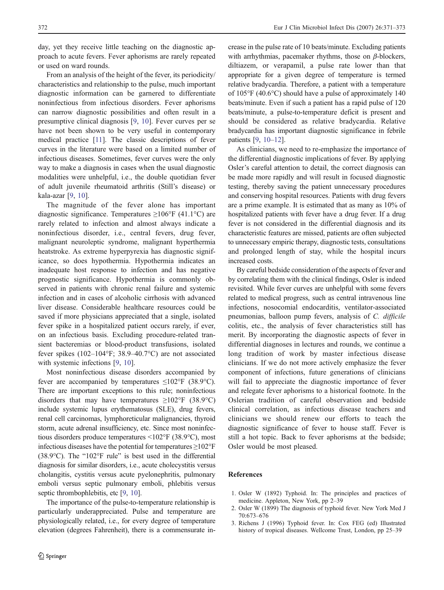<span id="page-1-0"></span>day, yet they receive little teaching on the diagnostic approach to acute fevers. Fever aphorisms are rarely repeated or used on ward rounds.

From an analysis of the height of the fever, its periodicity/ characteristics and relationship to the pulse, much important diagnostic information can be garnered to differentiate noninfectious from infectious disorders. Fever aphorisms can narrow diagnostic possibilities and often result in a presumptive clinical diagnosis [[9,](#page-2-0) [10\]](#page-2-0). Fever curves per se have not been shown to be very useful in contemporary medical practice [[11\]](#page-2-0). The classic descriptions of fever curves in the literature were based on a limited number of infectious diseases. Sometimes, fever curves were the only way to make a diagnosis in cases when the usual diagnostic modalities were unhelpful, i.e., the double quotidian fever of adult juvenile rheumatoid arthritis (Still's disease) or kala-azar [\[9](#page-2-0), [10](#page-2-0)].

The magnitude of the fever alone has important diagnostic significance. Temperatures  $\geq 106^{\circ}$ F (41.1°C) are rarely related to infection and almost always indicate a noninfectious disorder, i.e., central fevers, drug fever, malignant neuroleptic syndrome, malignant hyperthermia heatstroke. As extreme hyperpyrexia has diagnostic significance, so does hypothermia. Hypothermia indicates an inadequate host response to infection and has negative prognostic significance. Hypothermia is commonly observed in patients with chronic renal failure and systemic infection and in cases of alcoholic cirrhosis with advanced liver disease. Considerable healthcare resources could be saved if more physicians appreciated that a single, isolated fever spike in a hospitalized patient occurs rarely, if ever, on an infectious basis. Excluding procedure-related transient bacteremias or blood-product transfusions, isolated fever spikes (102–104°F; 38.9–40.7°C) are not associated with systemic infections [\[9](#page-2-0), [10\]](#page-2-0).

Most noninfectious disease disorders accompanied by fever are accompanied by temperatures  $\leq 102^{\circ}$ F (38.9°C). There are important exceptions to this rule; noninfectious disorders that may have temperatures  $\geq 102^{\circ}$  (38.9°C) include systemic lupus erythematosus (SLE), drug fevers, renal cell carcinomas, lymphoreticular malignancies, thyroid storm, acute adrenal insufficiency, etc. Since most noninfectious disorders produce temperatures <102°F (38.9°C), most infectious diseases have the potential for temperatures  $\geq$ 102°F (38.9°C). The "102°F rule" is best used in the differential diagnosis for similar disorders, i.e., acute cholecystitis versus cholangitis, cystitis versus acute pyelonephritis, pulmonary emboli versus septic pulmonary emboli, phlebitis versus septic thrombophlebitis, etc [\[9](#page-2-0), [10\]](#page-2-0).

The importance of the pulse-to-temperature relationship is particularly underappreciated. Pulse and temperature are physiologically related, i.e., for every degree of temperature elevation (degrees Fahrenheit), there is a commensurate increase in the pulse rate of 10 beats/minute. Excluding patients with arrhythmias, pacemaker rhythms, those on  $\beta$ -blockers, diltiazem, or verapamil, a pulse rate lower than that appropriate for a given degree of temperature is termed relative bradycardia. Therefore, a patient with a temperature of 105°F (40.6°C) should have a pulse of approximately 140 beats/minute. Even if such a patient has a rapid pulse of 120 beats/minute, a pulse-to-temperature deficit is present and should be considered as relative bradycardia. Relative bradycardia has important diagnostic significance in febrile patients [[9](#page-2-0), [10](#page-2-0)–[12\]](#page-2-0).

As clinicians, we need to re-emphasize the importance of the differential diagnostic implications of fever. By applying Osler's careful attention to detail, the correct diagnosis can be made more rapidly and will result in focused diagnostic testing, thereby saving the patient unnecessary procedures and conserving hospital resources. Patients with drug fevers are a prime example. It is estimated that as many as 10% of hospitalized patients with fever have a drug fever. If a drug fever is not considered in the differential diagnosis and its characteristic features are missed, patients are often subjected to unnecessary empiric therapy, diagnostic tests, consultations and prolonged length of stay, while the hospital incurs increased costs.

By careful bedside consideration of the aspects of fever and by correlating them with the clinical findings, Osler is indeed revisited. While fever curves are unhelpful with some fevers related to medical progress, such as central intravenous line infections, nosocomial endocarditis, ventilator-associated pneumonias, balloon pump fevers, analysis of C. difficile colitis, etc., the analysis of fever characteristics still has merit. By incorporating the diagnostic aspects of fever in differential diagnoses in lectures and rounds, we continue a long tradition of work by master infectious disease clinicians. If we do not more actively emphasize the fever component of infections, future generations of clinicians will fail to appreciate the diagnostic importance of fever and relegate fever aphorisms to a historical footnote. In the Oslerian tradition of careful observation and bedside clinical correlation, as infectious disease teachers and clinicians we should renew our efforts to teach the diagnostic significance of fever to house staff. Fever is still a hot topic. Back to fever aphorisms at the bedside; Osler would be most pleased.

## References

- 1. Osler W (1892) Typhoid. In: The principles and practices of medicine. Appleton, New York, pp 2–39
- 2. Osler W (1899) The diagnosis of typhoid fever. New York Med J 70:673–676
- 3. Richens J (1996) Typhoid fever. In: Cox FEG (ed) Illustrated history of tropical diseases. Wellcome Trust, London, pp 25–39